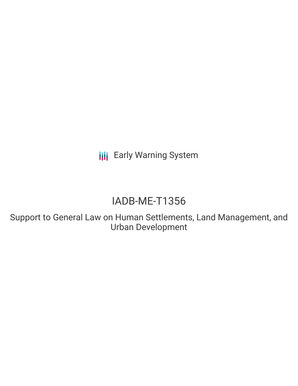**III** Early Warning System

# IADB-ME-T1356

Support to General Law on Human Settlements, Land Management, and Urban Development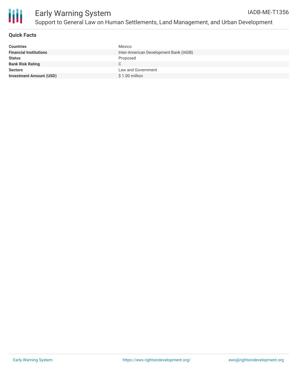

#### **Quick Facts**

| <b>Countries</b>               | Mexico                                 |
|--------------------------------|----------------------------------------|
| <b>Financial Institutions</b>  | Inter-American Development Bank (IADB) |
| <b>Status</b>                  | Proposed                               |
| <b>Bank Risk Rating</b>        |                                        |
| <b>Sectors</b>                 | Law and Government                     |
| <b>Investment Amount (USD)</b> | $$1.00$ million                        |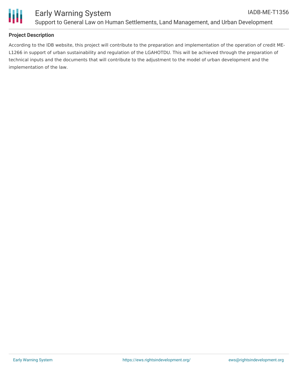

## **Project Description**

According to the IDB website, this project will contribute to the preparation and implementation of the operation of credit ME-L1266 in support of urban sustainability and regulation of the LGAHOTDU. This will be achieved through the preparation of technical inputs and the documents that will contribute to the adjustment to the model of urban development and the implementation of the law.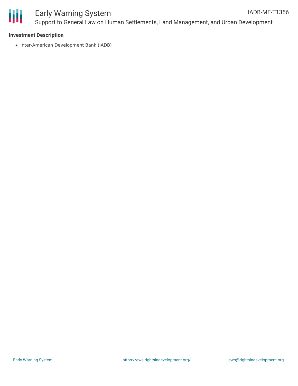

#### **Investment Description**

• Inter-American Development Bank (IADB)